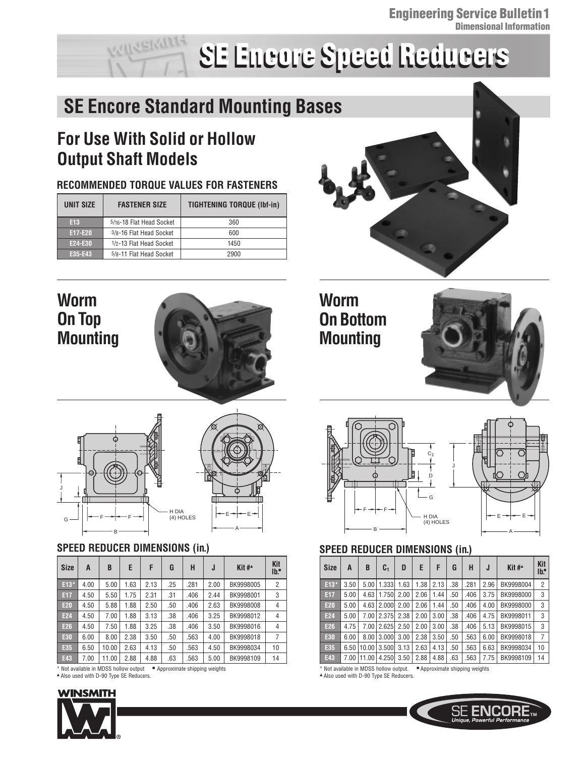# **SE Encore Speed Reducers SE Encore Speed Reducers**

# **SE Encore Standard Mounting Bases**

# **For Use With Solid or Hollow Output Shaft Models**

### **RECOMMENDED TORQUE VALUES FOR FASTENERS**

| UNIT SIZE       | <b>FASTENER SIZE</b>     | <b>TIGHTENING TORQUE (Ibf-in)</b> |  |  |  |
|-----------------|--------------------------|-----------------------------------|--|--|--|
| E <sub>13</sub> | 5/16-18 Flat Head Socket | 360                               |  |  |  |
| E17-E20         | 3/8-16 Flat Head Socket  | 600                               |  |  |  |
| E24-E30         | 1/2-13 Flat Head Socket  | 1450                              |  |  |  |
| E35-E43         | 5/8-11 Flat Head Socket  | 2900                              |  |  |  |

# **Worm On Top Mounting**





### **SPEED REDUCER DIMENSIONS (in.)**

| <b>Size</b>                                                           | A    | B     | E    | F    | G   | H    | J    | Kit #^    | <b>Kit</b><br>$Ib$ : |
|-----------------------------------------------------------------------|------|-------|------|------|-----|------|------|-----------|----------------------|
| E13*                                                                  | 4.00 | 5.00  | 1.63 | 2.13 | .25 | .281 | 2.00 | BK9998005 | $\overline{2}$       |
| E17                                                                   | 4.50 | 5.50  | 1.75 | 2.31 | .31 | .406 | 2.44 | BK9998001 | 3                    |
| <b>E20</b>                                                            | 4.50 | 5.88  | 1.88 | 2.50 | .50 | .406 | 2.63 | BK9998008 | 4                    |
| <b>E24</b>                                                            | 4.50 | 7.00  | 1.88 | 3.13 | .38 | .406 | 3.25 | BK9998012 | 4                    |
| E26                                                                   | 4.50 | 7.50  | 1.88 | 3.25 | .38 | .406 | 3.50 | BK9998016 | 4                    |
| E30                                                                   | 6.00 | 8.00  | 2.38 | 3.50 | .50 | .563 | 4.00 | BK9998018 | 7                    |
| E35                                                                   | 6.50 | 10.00 | 2.63 | 4.13 | .50 | .563 | 4.50 | BK9998034 | 10                   |
| E43                                                                   | 7.00 | 11.00 | 2.88 | 4.88 | .63 | .563 | 5.00 | BK9998109 | 14                   |
| * Not available in MDSS hollow output<br>Approximate shipping weights |      |       |      |      |     |      |      |           |                      |

▲ Also used with D-90 Type SE Reducers. ▲ Also used with D-90 Type SE Reducers.

### WINSMITH





## **Worm On Bottom Mounting**





### **SPEED REDUCER DIMENSIONS (in.)**

| <b>Size</b>     | A    | B     | C <sub>1</sub> | D    | E    | F    | G   | Н    | J    | Kit# $*$  | Kit<br>$Ib$ :  |
|-----------------|------|-------|----------------|------|------|------|-----|------|------|-----------|----------------|
| E13*            | 3.50 | 5.00  | 1.333          | 1.63 | 1.38 | 2.13 | .38 | .281 | 2.96 | BK9998004 | $\overline{2}$ |
| E17             | 5.00 | 4.63  | 1.750          | 2.00 | 2.06 | 1.44 | .50 | .406 | 3.75 | BK9998000 | 3              |
| <b>E20</b>      | 5.00 | 4.63  | 2.000          | 2.00 | 2.06 | 1.44 | .50 | .406 | 4.00 | BK9998000 | 3              |
| E <sub>24</sub> | 5.00 | 7.00  | 2.375          | 2.38 | 2.00 | 3.00 | .38 | .406 | 4.75 | BK9998011 | 3              |
| E26             | 4.75 | 7.00  | 2.625          | 2.50 | 2.00 | 3.00 | .38 | .406 | 5.13 | BK9998015 | 3              |
| E30             | 6.00 | 8.00  | 3.000          | 3.00 | 2.38 | 3.50 | .50 | .563 | 6.00 | BK9998018 | $\overline{7}$ |
| E35             | 6.50 | 10.00 | 3.500          | 3.13 | 2.63 | 4.13 | .50 | .563 | 6.63 | BK9998034 | 10             |
| E43             | 7.00 | 11.00 | 4.250          | 3.50 | 2.88 | 4.88 | .63 | .563 | 7.75 | BK9998109 | 14             |

\* Not available in MDSS hollow output. ■ Approximate shipping weights